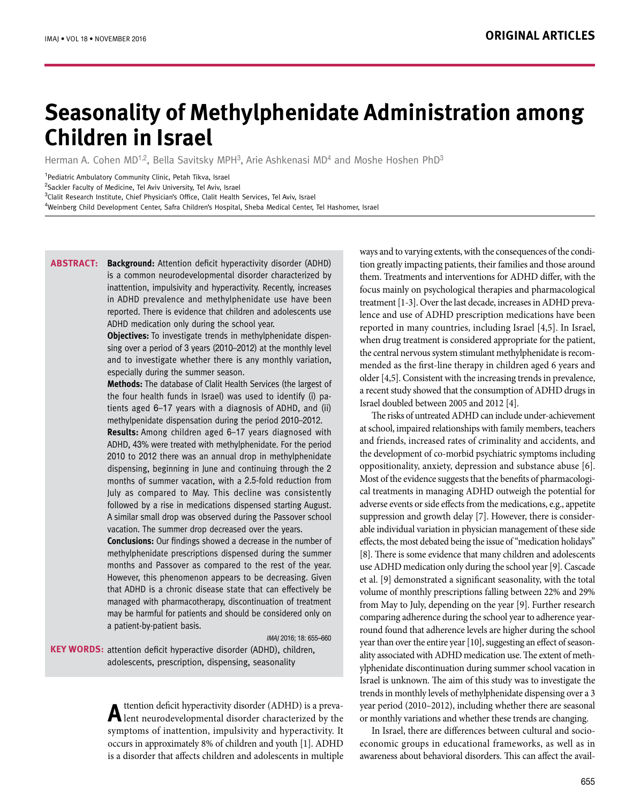# **Seasonality of Methylphenidate Administration among Children in Israel**

Herman A. Cohen MD<sup>1,2</sup>, Bella Savitsky MPH<sup>3</sup>, Arie Ashkenasi MD<sup>4</sup> and Moshe Hoshen PhD<sup>3</sup>

<sup>1</sup> Pediatric Ambulatory Community Clinic, Petah Tikva, Israel

2 Sackler Faculty of Medicine, Tel Aviv University, Tel Aviv, Israel

<sup>3</sup>Clalit Research Institute, Chief Physician's Office, Clalit Health Services, Tel Aviv, Israel

4 Weinberg Child Development Center, Safra Children's Hospital, Sheba Medical Center, Tel Hashomer, Israel

**Background:** Attention deficit hyperactivity disorder (ADHD) is a common neurodevelopmental disorder characterized by inattention, impulsivity and hyperactivity. Recently, increases in ADHD prevalence and methylphenidate use have been reported. There is evidence that children and adolescents use ADHD medication only during the school year. **Abstract:**

> **Objectives:** To investigate trends in methylphenidate dispensing over a period of 3 years (2010–2012) at the monthly level and to investigate whether there is any monthly variation, especially during the summer season.

> **Methods:** The database of Clalit Health Services (the largest of the four health funds in Israel) was used to identify (i) patients aged 6–17 years with a diagnosis of ADHD, and (ii) methylpenidate dispensation during the period 2010–2012.

> **Results:** Among children aged 6–17 years diagnosed with ADHD, 43% were treated with methylphenidate. For the period 2010 to 2012 there was an annual drop in methylphenidate dispensing, beginning in June and continuing through the 2 months of summer vacation, with a 2.5-fold reduction from July as compared to May. This decline was consistently followed by a rise in medications dispensed starting August. A similar small drop was observed during the Passover school vacation. The summer drop decreased over the years.

> **Conclusions:** Our findings showed a decrease in the number of methylphenidate prescriptions dispensed during the summer months and Passover as compared to the rest of the year. However, this phenomenon appears to be decreasing. Given that ADHD is a chronic disease state that can effectively be managed with pharmacotherapy, discontinuation of treatment may be harmful for patients and should be considered only on a patient-by-patient basis.

> > IMAJ 2016; 18: 655–660

**KEY WORDS:** attention deficit hyperactive disorder (ADHD), children, adolescents, prescription, dispensing, seasonality

> A ttention deficit hyperactivity disorder (ADHD) is a preva-<br>lent neurodevelopmental disorder characterized by the symptoms of inattention, impulsivity and hyperactivity. It occurs in approximately 8% of children and youth [1]. ADHD is a disorder that affects children and adolescents in multiple

ways and to varying extents, with the consequences of the condition greatly impacting patients, their families and those around them. Treatments and interventions for ADHD differ, with the focus mainly on psychological therapies and pharmacological treatment [1-3]. Over the last decade, increases in ADHD prevalence and use of ADHD prescription medications have been reported in many countries, including Israel [4,5]. In Israel, when drug treatment is considered appropriate for the patient, the central nervous system stimulant methylphenidate is recommended as the first-line therapy in children aged 6 years and older [4,5]. Consistent with the increasing trends in prevalence, a recent study showed that the consumption of ADHD drugs in Israel doubled between 2005 and 2012 [4].

The risks of untreated ADHD can include under-achievement at school, impaired relationships with family members, teachers and friends, increased rates of criminality and accidents, and the development of co-morbid psychiatric symptoms including oppositionality, anxiety, depression and substance abuse [6]. Most of the evidence suggests that the benefits of pharmacological treatments in managing ADHD outweigh the potential for adverse events or side effects from the medications, e.g., appetite suppression and growth delay [7]. However, there is considerable individual variation in physician management of these side effects, the most debated being the issue of "medication holidays" [8]. There is some evidence that many children and adolescents use ADHD medication only during the school year [9]. Cascade et al. [9] demonstrated a significant seasonality, with the total volume of monthly prescriptions falling between 22% and 29% from May to July, depending on the year [9]. Further research comparing adherence during the school year to adherence yearround found that adherence levels are higher during the school year than over the entire year [10], suggesting an effect of seasonality associated with ADHD medication use. The extent of methylphenidate discontinuation during summer school vacation in Israel is unknown. The aim of this study was to investigate the trends in monthly levels of methylphenidate dispensing over a 3 year period (2010–2012), including whether there are seasonal or monthly variations and whether these trends are changing.

In Israel, there are differences between cultural and socioeconomic groups in educational frameworks, as well as in awareness about behavioral disorders. This can affect the avail-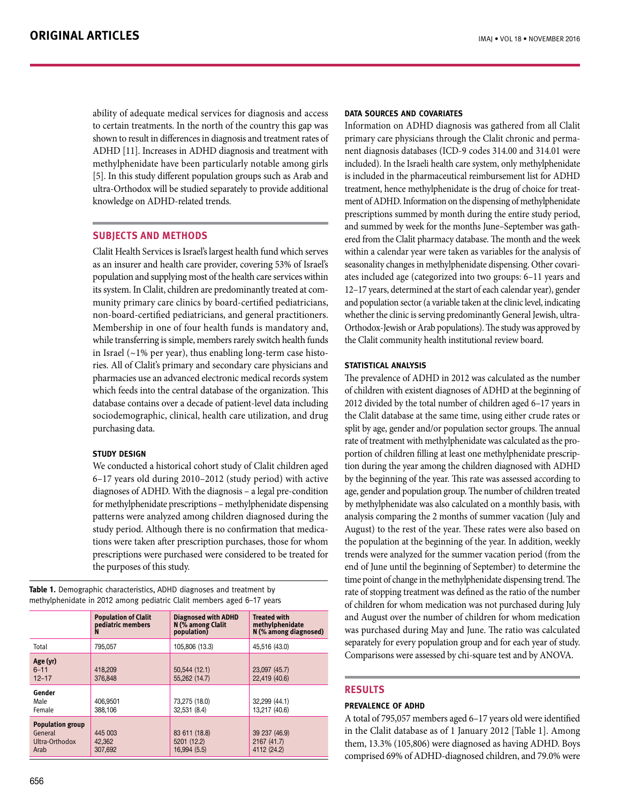ability of adequate medical services for diagnosis and access to certain treatments. In the north of the country this gap was shown to result in differences in diagnosis and treatment rates of ADHD [11]. Increases in ADHD diagnosis and treatment with methylphenidate have been particularly notable among girls [5]. In this study different population groups such as Arab and ultra-Orthodox will be studied separately to provide additional knowledge on ADHD-related trends.

## **SUBJECTS AND METHODS**

Clalit Health Services is Israel's largest health fund which serves as an insurer and health care provider, covering 53% of Israel's population and supplying most of the health care services within its system. In Clalit, children are predominantly treated at community primary care clinics by board-certified pediatricians, non-board-certified pediatricians, and general practitioners. Membership in one of four health funds is mandatory and, while transferring is simple, members rarely switch health funds in Israel ( $\sim$ 1% per year), thus enabling long-term case histories. All of Clalit's primary and secondary care physicians and pharmacies use an advanced electronic medical records system which feeds into the central database of the organization. This database contains over a decade of patient-level data including sociodemographic, clinical, health care utilization, and drug purchasing data.

## **Study design**

We conducted a historical cohort study of Clalit children aged 6–17 years old during 2010–2012 (study period) with active diagnoses of ADHD. With the diagnosis – a legal pre-condition for methylphenidate prescriptions – methylphenidate dispensing patterns were analyzed among children diagnosed during the study period. Although there is no confirmation that medications were taken after prescription purchases, those for whom prescriptions were purchased were considered to be treated for the purposes of this study.

**Table 1.** Demographic characteristics, ADHD diagnoses and treatment by methylphenidate in 2012 among pediatric Clalit members aged 6–17 years

|                                                              | <b>Population of Clalit</b><br>pediatric members<br>N | <b>Diagnosed with ADHD</b><br>N (% among Clalit<br>population) | <b>Treated with</b><br>methylphenidate<br>N (% among diagnosed) |  |
|--------------------------------------------------------------|-------------------------------------------------------|----------------------------------------------------------------|-----------------------------------------------------------------|--|
| Total                                                        | 795.057                                               | 105,806 (13.3)                                                 | 45,516 (43.0)                                                   |  |
| Age (yr)<br>$6 - 11$<br>$12 - 17$                            | 418,209<br>376,848                                    | 50,544 (12.1)<br>55,262 (14.7)                                 | 23,097 (45.7)<br>22,419 (40.6)                                  |  |
| Gender<br>Male<br>Female                                     | 406,9501<br>388,106                                   | 73,275 (18.0)<br>32,531 (8.4)                                  | 32,299 (44.1)<br>13,217 (40.6)                                  |  |
| <b>Population group</b><br>General<br>Ultra-Orthodox<br>Arab | 445 003<br>42,362<br>307.692                          | 83 611 (18.8)<br>5201 (12.2)<br>16,994 (5.5)                   | 39 237 (46.9)<br>2167 (41.7)<br>4112 (24.2)                     |  |

#### **Data sources and covariates**

Information on ADHD diagnosis was gathered from all Clalit primary care physicians through the Clalit chronic and permanent diagnosis databases (ICD-9 codes 314.00 and 314.01 were included). In the Israeli health care system, only methylphenidate is included in the pharmaceutical reimbursement list for ADHD treatment, hence methylphenidate is the drug of choice for treatment of ADHD. Information on the dispensing of methylphenidate prescriptions summed by month during the entire study period, and summed by week for the months June–September was gathered from the Clalit pharmacy database. The month and the week within a calendar year were taken as variables for the analysis of seasonality changes in methylphenidate dispensing. Other covariates included age (categorized into two groups: 6–11 years and 12–17 years, determined at the start of each calendar year), gender and population sector (a variable taken at the clinic level, indicating whether the clinic is serving predominantly General Jewish, ultra-Orthodox-Jewish or Arab populations). The study was approved by the Clalit community health institutional review board.

### **Statistical analysis**

The prevalence of ADHD in 2012 was calculated as the number of children with existent diagnoses of ADHD at the beginning of 2012 divided by the total number of children aged 6–17 years in the Clalit database at the same time, using either crude rates or split by age, gender and/or population sector groups. The annual rate of treatment with methylphenidate was calculated as the proportion of children filling at least one methylphenidate prescription during the year among the children diagnosed with ADHD by the beginning of the year. This rate was assessed according to age, gender and population group. The number of children treated by methylphenidate was also calculated on a monthly basis, with analysis comparing the 2 months of summer vacation (July and August) to the rest of the year. These rates were also based on the population at the beginning of the year. In addition, weekly trends were analyzed for the summer vacation period (from the end of June until the beginning of September) to determine the time point of change in the methylphenidate dispensing trend. The rate of stopping treatment was defined as the ratio of the number of children for whom medication was not purchased during July and August over the number of children for whom medication was purchased during May and June. The ratio was calculated separately for every population group and for each year of study. Comparisons were assessed by chi-square test and by ANOVA.

## **RESULTS**

## **Prevalence of ADHD**

A total of 795,057 members aged 6–17 years old were identified in the Clalit database as of 1 January 2012 [Table 1]. Among them, 13.3% (105,806) were diagnosed as having ADHD. Boys comprised 69% of ADHD-diagnosed children, and 79.0% were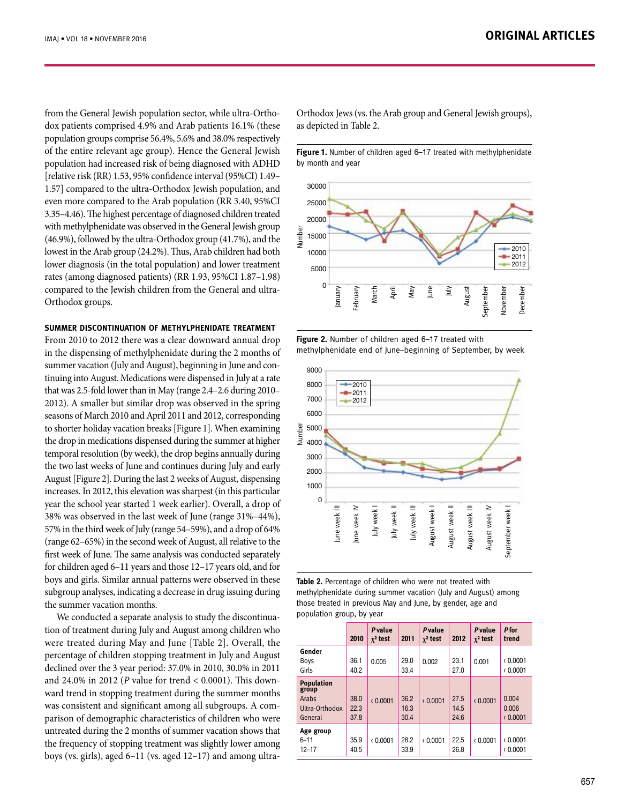from the General Jewish population sector, while ultra-Orthodox patients comprised 4.9% and Arab patients 16.1% (these population groups comprise 56.4%, 5.6% and 38.0% respectively of the entire relevant age group). Hence the General Jewish population had increased risk of being diagnosed with ADHD [relative risk (RR) 1.53, 95% confidence interval (95%CI) 1.49– 1.57] compared to the ultra-Orthodox Jewish population, and even more compared to the Arab population (RR 3.40, 95%CI 3.35–4.46). The highest percentage of diagnosed children treated with methylphenidate was observed in the General Jewish group (46.9%), followed by the ultra-Orthodox group (41.7%), and the lowest in the Arab group (24.2%). Thus, Arab children had both lower diagnosis (in the total population) and lower treatment rates (among diagnosed patients) (RR 1.93, 95%CI 1.87–1.98) compared to the Jewish children from the general and ultra-Orthodox groups.

#### **Summer discontinuation of methylphenidate treatment**

From 2010 to 2012 there was a clear downward annual drop in the dispensing of methylphenidate during the 2 months of summer vacation (July and August), beginning in June and continuing into August. Medications were dispensed in July at a rate that was 2.5-fold lower than in May (range 2.4–2.6 during 2010– 2012). A smaller but similar drop was observed in the spring seasons of March 2010 and April 2011 and 2012, corresponding to shorter holiday vacation breaks [Figure 1]. When examining the drop in medications dispensed during the summer at higher temporal resolution (by week), the drop begins annually during the two last weeks of June and continues during July and early August [Figure 2]. During the last 2 weeks of August, dispensing increases. In 2012, this elevation was sharpest (in this particular year the school year started 1 week earlier). Overall, a drop of 38% was observed in the last week of June (range 31%–44%), 57% in the third week of July (range 54–59%), and a drop of 64% (range 62–65%) in the second week of August, all relative to the first week of June. The same analysis was conducted separately for children aged 6–11 years and those 12–17 years old, and for boys and girls. Similar annual patterns were observed in these subgroup analyses, indicating a decrease in drug issuing during the summer vacation months.

We conducted a separate analysis to study the discontinuation of treatment during July and August among children who were treated during May and June [Table 2]. Overall, the percentage of children stopping treatment in July and August declined over the 3 year period: 37.0% in 2010, 30.0% in 2011 and 24.0% in 2012 (*P* value for trend < 0.0001). This downward trend in stopping treatment during the summer months was consistent and significant among all subgroups. A comparison of demographic characteristics of children who were untreated during the 2 months of summer vacation shows that the frequency of stopping treatment was slightly lower among boys (vs. girls), aged 6–11 (vs. aged 12–17) and among ultraOrthodox Jews (vs. the Arab group and General Jewish groups), as depicted in Table 2.

**Figure 1.** Number of children aged 6–17 treated with methylphenidate by month and year



**Figure 2.** Number of children aged 6–17 treated with methylphenidate end of June–beginning of September, by week



**Table 2.** Percentage of children who were not treated with methylphenidate during summer vacation (July and August) among those treated in previous May and June, by gender, age and population group, by year

|                                                                  | 2010                 | Pvalue<br>$\chi^2$ test | 2011                 | Pvalue<br>$\chi^2$ test | 2012                 | Pvalue<br>$\chi^2$ test | P for<br>trend             |
|------------------------------------------------------------------|----------------------|-------------------------|----------------------|-------------------------|----------------------|-------------------------|----------------------------|
| Gender<br><b>Boys</b><br>Girls                                   | 36.1<br>40.2         | 0.005                   | 29.0<br>33.4         | 0.002                   | 23.1<br>27.0         | 0.001                   | (0.0001)<br>(0.0001)       |
| <b>Population</b><br>group<br>Arabs<br>Ultra-Orthodox<br>General | 38.0<br>22.3<br>37.8 | (0.0001)                | 36.2<br>16.3<br>30.4 | (0.0001)                | 27.5<br>14.5<br>24.6 | (0.0001)                | 0.004<br>0.006<br>(0.0001) |
| Age group<br>$6 - 11$<br>$12 - 17$                               | 35.9<br>40.5         | (0.0001)                | 28.2<br>33.9         | (0.0001)                | 22.5<br>26.8         | (0.0001)                | (0.0001)<br>(0.0001)       |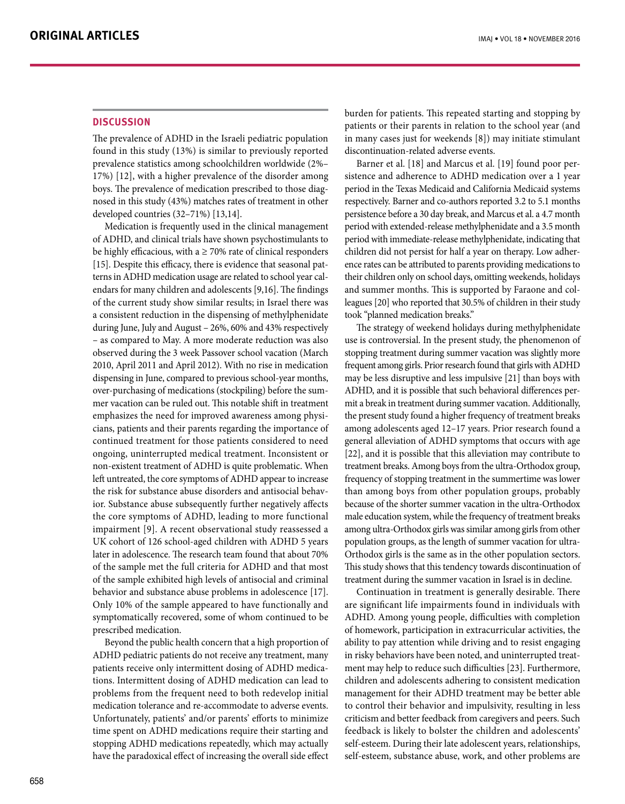## **DISCUSSION**

The prevalence of ADHD in the Israeli pediatric population found in this study (13%) is similar to previously reported prevalence statistics among schoolchildren worldwide (2%– 17%) [12], with a higher prevalence of the disorder among boys. The prevalence of medication prescribed to those diagnosed in this study (43%) matches rates of treatment in other developed countries (32–71%) [13,14].

Medication is frequently used in the clinical management of ADHD, and clinical trials have shown psychostimulants to be highly efficacious, with a  $\geq$  70% rate of clinical responders [15]. Despite this efficacy, there is evidence that seasonal patterns in ADHD medication usage are related to school year calendars for many children and adolescents [9,16]. The findings of the current study show similar results; in Israel there was a consistent reduction in the dispensing of methylphenidate during June, July and August – 26%, 60% and 43% respectively – as compared to May. A more moderate reduction was also observed during the 3 week Passover school vacation (March 2010, April 2011 and April 2012). With no rise in medication dispensing in June, compared to previous school-year months, over-purchasing of medications (stockpiling) before the summer vacation can be ruled out. This notable shift in treatment emphasizes the need for improved awareness among physicians, patients and their parents regarding the importance of continued treatment for those patients considered to need ongoing, uninterrupted medical treatment. Inconsistent or non-existent treatment of ADHD is quite problematic. When left untreated, the core symptoms of ADHD appear to increase the risk for substance abuse disorders and antisocial behavior. Substance abuse subsequently further negatively affects the core symptoms of ADHD, leading to more functional impairment [9]. A recent observational study reassessed a UK cohort of 126 school-aged children with ADHD 5 years later in adolescence. The research team found that about 70% of the sample met the full criteria for ADHD and that most of the sample exhibited high levels of antisocial and criminal behavior and substance abuse problems in adolescence [17]. Only 10% of the sample appeared to have functionally and symptomatically recovered, some of whom continued to be prescribed medication.

Beyond the public health concern that a high proportion of ADHD pediatric patients do not receive any treatment, many patients receive only intermittent dosing of ADHD medications. Intermittent dosing of ADHD medication can lead to problems from the frequent need to both redevelop initial medication tolerance and re-accommodate to adverse events. Unfortunately, patients' and/or parents' efforts to minimize time spent on ADHD medications require their starting and stopping ADHD medications repeatedly, which may actually have the paradoxical effect of increasing the overall side effect burden for patients. This repeated starting and stopping by patients or their parents in relation to the school year (and in many cases just for weekends [8]) may initiate stimulant discontinuation-related adverse events.

Barner et al. [18] and Marcus et al. [19] found poor persistence and adherence to ADHD medication over a 1 year period in the Texas Medicaid and California Medicaid systems respectively. Barner and co-authors reported 3.2 to 5.1 months persistence before a 30 day break, and Marcus et al. a 4.7 month period with extended-release methylphenidate and a 3.5 month period with immediate-release methylphenidate, indicating that children did not persist for half a year on therapy. Low adherence rates can be attributed to parents providing medications to their children only on school days, omitting weekends, holidays and summer months. This is supported by Faraone and colleagues [20] who reported that 30.5% of children in their study took "planned medication breaks."

The strategy of weekend holidays during methylphenidate use is controversial. In the present study, the phenomenon of stopping treatment during summer vacation was slightly more frequent among girls. Prior research found that girls with ADHD may be less disruptive and less impulsive [21] than boys with ADHD, and it is possible that such behavioral differences permit a break in treatment during summer vacation. Additionally, the present study found a higher frequency of treatment breaks among adolescents aged 12–17 years. Prior research found a general alleviation of ADHD symptoms that occurs with age [22], and it is possible that this alleviation may contribute to treatment breaks. Among boys from the ultra-Orthodox group, frequency of stopping treatment in the summertime was lower than among boys from other population groups, probably because of the shorter summer vacation in the ultra-Orthodox male education system, while the frequency of treatment breaks among ultra-Orthodox girls was similar among girls from other population groups, as the length of summer vacation for ultra-Orthodox girls is the same as in the other population sectors. This study shows that this tendency towards discontinuation of treatment during the summer vacation in Israel is in decline.

Continuation in treatment is generally desirable. There are significant life impairments found in individuals with ADHD. Among young people, difficulties with completion of homework, participation in extracurricular activities, the ability to pay attention while driving and to resist engaging in risky behaviors have been noted, and uninterrupted treatment may help to reduce such difficulties [23]. Furthermore, children and adolescents adhering to consistent medication management for their ADHD treatment may be better able to control their behavior and impulsivity, resulting in less criticism and better feedback from caregivers and peers. Such feedback is likely to bolster the children and adolescents' self-esteem. During their late adolescent years, relationships, self-esteem, substance abuse, work, and other problems are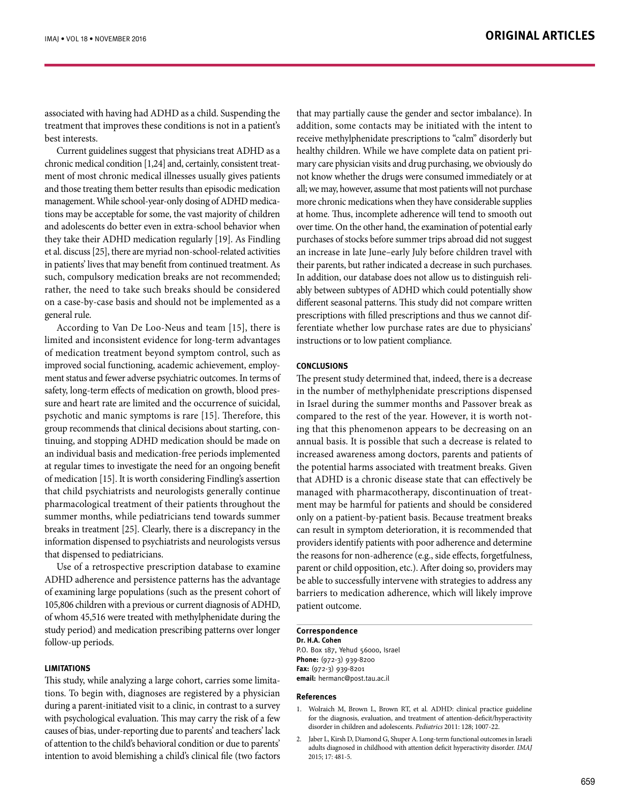associated with having had ADHD as a child. Suspending the treatment that improves these conditions is not in a patient's best interests.

Current guidelines suggest that physicians treat ADHD as a chronic medical condition [1,24] and, certainly, consistent treatment of most chronic medical illnesses usually gives patients and those treating them better results than episodic medication management. While school-year-only dosing of ADHD medications may be acceptable for some, the vast majority of children and adolescents do better even in extra-school behavior when they take their ADHD medication regularly [19]. As Findling et al. discuss [25], there are myriad non-school-related activities in patients' lives that may benefit from continued treatment. As such, compulsory medication breaks are not recommended; rather, the need to take such breaks should be considered on a case-by-case basis and should not be implemented as a general rule.

According to Van De Loo-Neus and team [15], there is limited and inconsistent evidence for long-term advantages of medication treatment beyond symptom control, such as improved social functioning, academic achievement, employment status and fewer adverse psychiatric outcomes. In terms of safety, long-term effects of medication on growth, blood pressure and heart rate are limited and the occurrence of suicidal, psychotic and manic symptoms is rare [15]. Therefore, this group recommends that clinical decisions about starting, continuing, and stopping ADHD medication should be made on an individual basis and medication-free periods implemented at regular times to investigate the need for an ongoing benefit of medication [15]. It is worth considering Findling's assertion that child psychiatrists and neurologists generally continue pharmacological treatment of their patients throughout the summer months, while pediatricians tend towards summer breaks in treatment [25]. Clearly, there is a discrepancy in the information dispensed to psychiatrists and neurologists versus that dispensed to pediatricians.

Use of a retrospective prescription database to examine ADHD adherence and persistence patterns has the advantage of examining large populations (such as the present cohort of 105,806 children with a previous or current diagnosis of ADHD, of whom 45,516 were treated with methylphenidate during the study period) and medication prescribing patterns over longer follow-up periods.

#### **Limitations**

This study, while analyzing a large cohort, carries some limitations. To begin with, diagnoses are registered by a physician during a parent-initiated visit to a clinic, in contrast to a survey with psychological evaluation. This may carry the risk of a few causes of bias, under-reporting due to parents' and teachers' lack of attention to the child's behavioral condition or due to parents' intention to avoid blemishing a child's clinical file (two factors that may partially cause the gender and sector imbalance). In addition, some contacts may be initiated with the intent to receive methylphenidate prescriptions to "calm" disorderly but healthy children. While we have complete data on patient primary care physician visits and drug purchasing, we obviously do not know whether the drugs were consumed immediately or at all; we may, however, assume that most patients will not purchase more chronic medications when they have considerable supplies at home. Thus, incomplete adherence will tend to smooth out over time. On the other hand, the examination of potential early purchases of stocks before summer trips abroad did not suggest an increase in late June–early July before children travel with their parents, but rather indicated a decrease in such purchases. In addition, our database does not allow us to distinguish reliably between subtypes of ADHD which could potentially show different seasonal patterns. This study did not compare written prescriptions with filled prescriptions and thus we cannot differentiate whether low purchase rates are due to physicians' instructions or to low patient compliance.

#### **Conclusions**

The present study determined that, indeed, there is a decrease in the number of methylphenidate prescriptions dispensed in Israel during the summer months and Passover break as compared to the rest of the year. However, it is worth noting that this phenomenon appears to be decreasing on an annual basis. It is possible that such a decrease is related to increased awareness among doctors, parents and patients of the potential harms associated with treatment breaks. Given that ADHD is a chronic disease state that can effectively be managed with pharmacotherapy, discontinuation of treatment may be harmful for patients and should be considered only on a patient-by-patient basis. Because treatment breaks can result in symptom deterioration, it is recommended that providers identify patients with poor adherence and determine the reasons for non-adherence (e.g., side effects, forgetfulness, parent or child opposition, etc.). After doing so, providers may be able to successfully intervene with strategies to address any barriers to medication adherence, which will likely improve patient outcome.

#### **Correspondence**

**Dr. H.A. Cohen** P.O. Box 187, Yehud 56000, Israel **Phone:** (972-3) 939-8200 **Fax:** (972-3) 939-8201 **email:** hermanc@post.tau.ac.il

#### **References**

- 1. Wolraich M, Brown L, Brown RT, et al*.* ADHD: clinical practice guideline for the diagnosis, evaluation, and treatment of attention-deficit/hyperactivity disorder in children and adolescents. *Pediatrics* 2011: 128; 1007-22.
- 2. Jaber L, Kirsh D, Diamond G, Shuper A. Long-term functional outcomes in Israeli adults diagnosed in childhood with attention deficit hyperactivity disorder. *IMAJ*  2015; 17: 481-5.